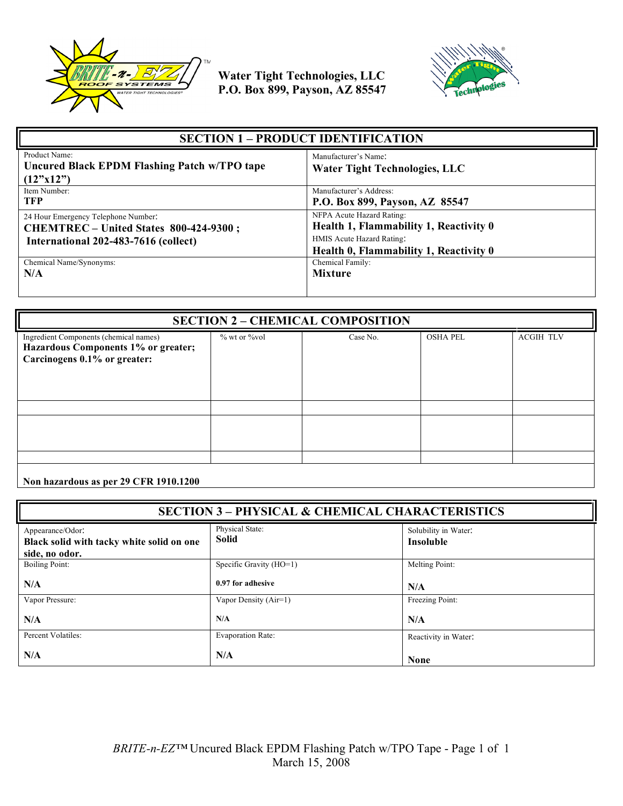



| <b>SECTION 1 – PRODUCT IDENTIFICATION</b>                                                                             |                                                                                                                                            |
|-----------------------------------------------------------------------------------------------------------------------|--------------------------------------------------------------------------------------------------------------------------------------------|
| Product Name:<br>Uncured Black EPDM Flashing Patch w/TPO tape<br>(12"x12")                                            | Manufacturer's Name:<br><b>Water Tight Technologies, LLC</b>                                                                               |
| Item Number:<br><b>TFP</b>                                                                                            | Manufacturer's Address:<br>P.O. Box 899, Payson, AZ 85547                                                                                  |
| 24 Hour Emergency Telephone Number:<br>CHEMTREC - United States 800-424-9300;<br>International 202-483-7616 (collect) | NFPA Acute Hazard Rating:<br>Health 1, Flammability 1, Reactivity 0<br>HMIS Acute Hazard Rating:<br>Health 0, Flammability 1, Reactivity 0 |
| Chemical Name/Synonyms:<br>N/A                                                                                        | Chemical Family:<br><b>Mixture</b>                                                                                                         |

| <b>SECTION 2 - CHEMICAL COMPOSITION</b>                                                                       |                   |          |                 |                  |
|---------------------------------------------------------------------------------------------------------------|-------------------|----------|-----------------|------------------|
| Ingredient Components (chemical names)<br>Hazardous Components 1% or greater;<br>Carcinogens 0.1% or greater: | $%$ wt or $%$ vol | Case No. | <b>OSHA PEL</b> | <b>ACGIH TLV</b> |
|                                                                                                               |                   |          |                 |                  |
|                                                                                                               |                   |          |                 |                  |
|                                                                                                               |                   |          |                 |                  |

**Non hazardous as per 29 CFR 1910.1200**

| <b>SECTION 3 - PHYSICAL &amp; CHEMICAL CHARACTERISTICS</b>                      |                          |                                          |
|---------------------------------------------------------------------------------|--------------------------|------------------------------------------|
| Appearance/Odor:<br>Black solid with tacky white solid on one<br>side, no odor. | Physical State:<br>Solid | Solubility in Water:<br><b>Insoluble</b> |
| <b>Boiling Point:</b>                                                           | Specific Gravity (HO=1)  | Melting Point:                           |
| N/A                                                                             | 0.97 for adhesive        | N/A                                      |
| Vapor Pressure:                                                                 | Vapor Density (Air=1)    | Freezing Point:                          |
| N/A                                                                             | N/A                      | N/A                                      |
| Percent Volatiles:                                                              | <b>Evaporation Rate:</b> | Reactivity in Water:                     |
| N/A                                                                             | N/A                      | <b>None</b>                              |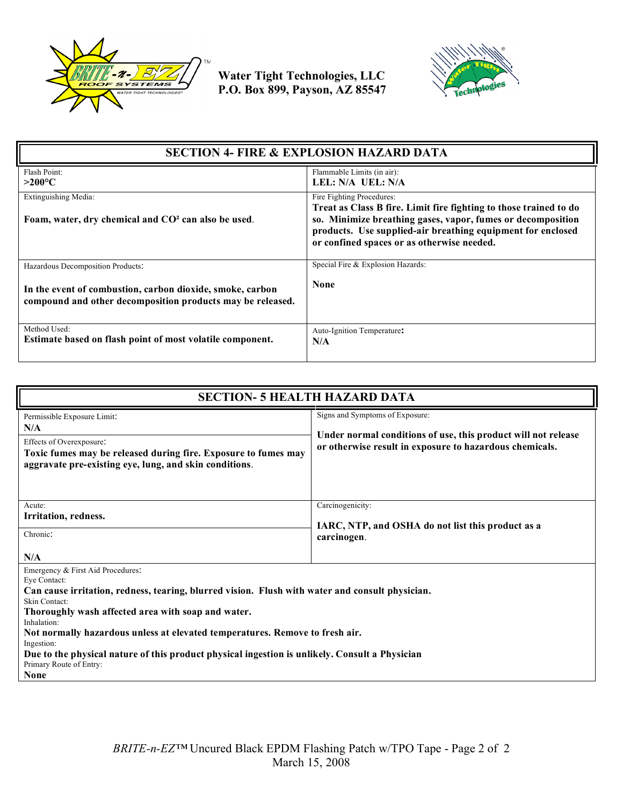



| <b>SECTION 4- FIRE &amp; EXPLOSION HAZARD DATA</b>                                                                      |                                                                                                                                                                                                                                                                            |
|-------------------------------------------------------------------------------------------------------------------------|----------------------------------------------------------------------------------------------------------------------------------------------------------------------------------------------------------------------------------------------------------------------------|
| Flash Point:<br>$>200^{\circ}$ C                                                                                        | Flammable Limits (in air):<br>LEL: N/A UEL: N/A                                                                                                                                                                                                                            |
| Extinguishing Media:<br>Foam, water, dry chemical and CO <sup>2</sup> can also be used.                                 | Fire Fighting Procedures:<br>Treat as Class B fire. Limit fire fighting to those trained to do<br>so. Minimize breathing gases, vapor, fumes or decomposition<br>products. Use supplied-air breathing equipment for enclosed<br>or confined spaces or as otherwise needed. |
| Hazardous Decomposition Products:                                                                                       | Special Fire & Explosion Hazards:                                                                                                                                                                                                                                          |
| In the event of combustion, carbon dioxide, smoke, carbon<br>compound and other decomposition products may be released. | <b>None</b>                                                                                                                                                                                                                                                                |
| Method Used:<br>Estimate based on flash point of most volatile component.                                               | Auto-Ignition Temperature:<br>N/A                                                                                                                                                                                                                                          |

| <b>SECTION- 5 HEALTH HAZARD DATA</b>                                                                                                                                                                                                                                                                                                                                                                                                                                                 |                                                                                                                                                             |  |
|--------------------------------------------------------------------------------------------------------------------------------------------------------------------------------------------------------------------------------------------------------------------------------------------------------------------------------------------------------------------------------------------------------------------------------------------------------------------------------------|-------------------------------------------------------------------------------------------------------------------------------------------------------------|--|
| Permissible Exposure Limit:<br>N/A<br>Effects of Overexposure:<br>Toxic fumes may be released during fire. Exposure to fumes may<br>aggravate pre-existing eye, lung, and skin conditions.                                                                                                                                                                                                                                                                                           | Signs and Symptoms of Exposure:<br>Under normal conditions of use, this product will not release<br>or otherwise result in exposure to hazardous chemicals. |  |
| Acute:<br>Irritation, redness.<br>Chronic:<br>N/A                                                                                                                                                                                                                                                                                                                                                                                                                                    | Carcinogenicity:<br>IARC, NTP, and OSHA do not list this product as a<br>carcinogen.                                                                        |  |
| Emergency & First Aid Procedures:<br>Eve Contact:<br>Can cause irritation, redness, tearing, blurred vision. Flush with water and consult physician.<br>Skin Contact:<br>Thoroughly wash affected area with soap and water.<br>Inhalation:<br>Not normally hazardous unless at elevated temperatures. Remove to fresh air.<br>Ingestion:<br>Due to the physical nature of this product physical ingestion is unlikely. Consult a Physician<br>Primary Route of Entry:<br><b>None</b> |                                                                                                                                                             |  |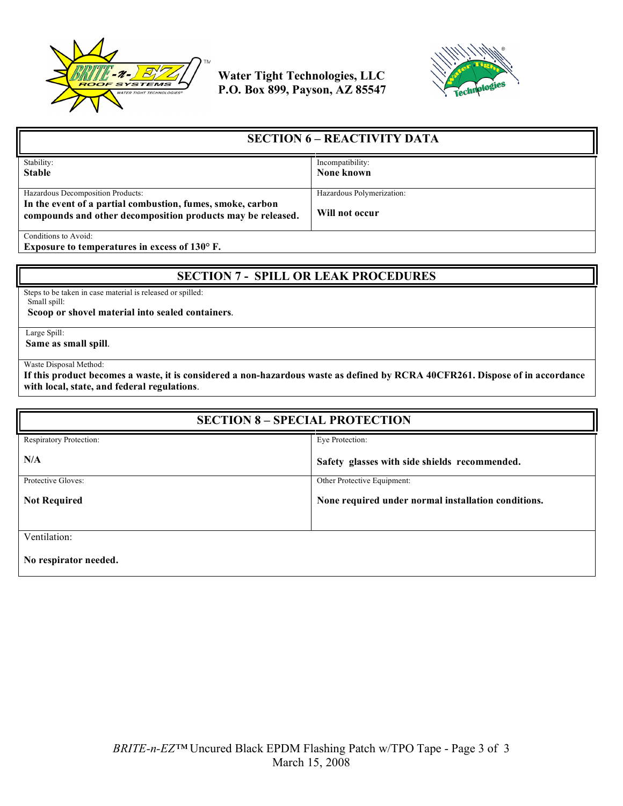



| <b>SECTION 6 – REACTIVITY DATA</b>                                                                                        |                           |
|---------------------------------------------------------------------------------------------------------------------------|---------------------------|
| Stability:                                                                                                                | Incompatibility:          |
| <b>Stable</b>                                                                                                             | None known                |
|                                                                                                                           |                           |
| Hazardous Decomposition Products:                                                                                         | Hazardous Polymerization: |
| In the event of a partial combustion, fumes, smoke, carbon<br>compounds and other decomposition products may be released. | Will not occur            |
| Conditions to Avoid:                                                                                                      |                           |

**Exposure to temperatures in excess of 130° F.**

## **SECTION 7 - SPILL OR LEAK PROCEDURES**

Steps to be taken in case material is released or spilled: Small spill:

 **Scoop or shovel material into sealed containers**.

Large Spill:

**Same as small spill**.

Waste Disposal Method:

**If this product becomes a waste, it is considered a non-hazardous waste as defined by RCRA 40CFR261. Dispose of in accordance with local, state, and federal regulations**.

| <b>SECTION 8 - SPECIAL PROTECTION</b> |                                                     |
|---------------------------------------|-----------------------------------------------------|
| Respiratory Protection:               | Eye Protection:                                     |
| N/A                                   | Safety glasses with side shields recommended.       |
| Protective Gloves:                    | Other Protective Equipment:                         |
| <b>Not Required</b>                   | None required under normal installation conditions. |
| Ventilation:                          |                                                     |
| No respirator needed.                 |                                                     |